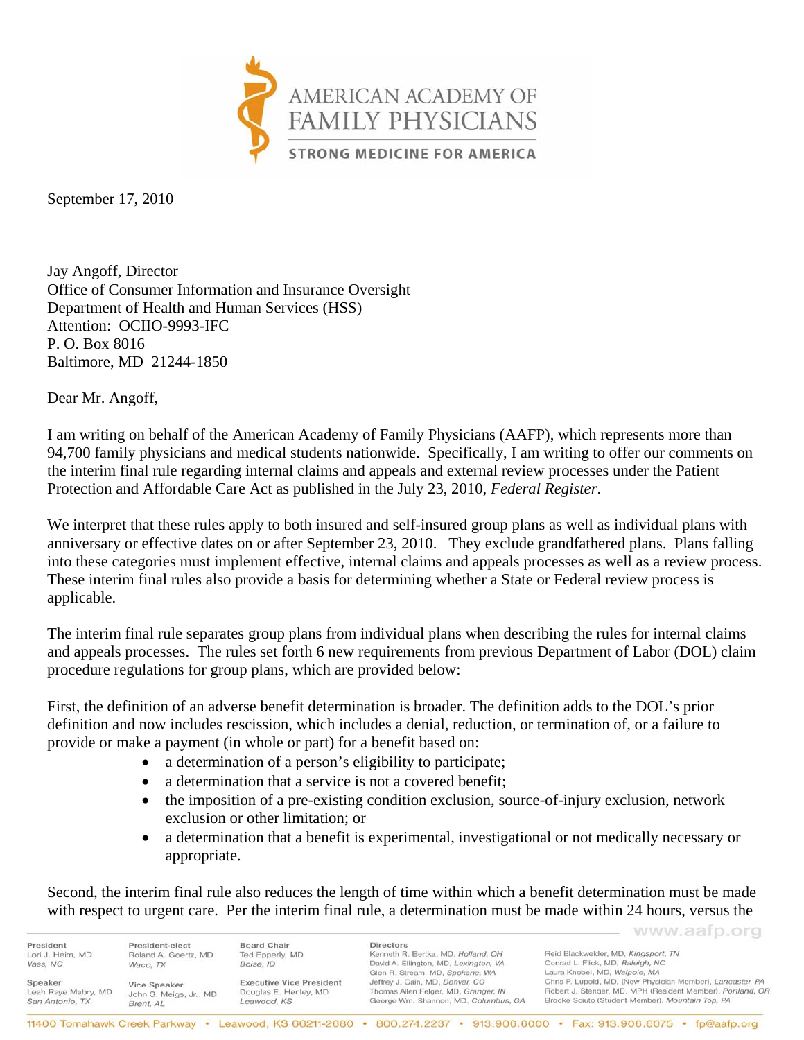

September 17, 2010

Jay Angoff, Director Office of Consumer Information and Insurance Oversight Department of Health and Human Services (HSS) Attention: OCIIO-9993-IFC P. O. Box 8016 Baltimore, MD 21244-1850

Dear Mr. Angoff,

I am writing on behalf of the American Academy of Family Physicians (AAFP), which represents more than 94,700 family physicians and medical students nationwide. Specifically, I am writing to offer our comments on the interim final rule regarding internal claims and appeals and external review processes under the Patient Protection and Affordable Care Act as published in the July 23, 2010, *Federal Register*.

We interpret that these rules apply to both insured and self-insured group plans as well as individual plans with anniversary or effective dates on or after September 23, 2010. They exclude grandfathered plans. Plans falling into these categories must implement effective, internal claims and appeals processes as well as a review process. These interim final rules also provide a basis for determining whether a State or Federal review process is applicable.

The interim final rule separates group plans from individual plans when describing the rules for internal claims and appeals processes. The rules set forth 6 new requirements from previous Department of Labor (DOL) claim procedure regulations for group plans, which are provided below:

First, the definition of an adverse benefit determination is broader. The definition adds to the DOL's prior definition and now includes rescission, which includes a denial, reduction, or termination of, or a failure to provide or make a payment (in whole or part) for a benefit based on:

- a determination of a person's eligibility to participate;
- a determination that a service is not a covered benefit;
- the imposition of a pre-existing condition exclusion, source-of-injury exclusion, network exclusion or other limitation; or
- a determination that a benefit is experimental, investigational or not medically necessary or appropriate.

Second, the interim final rule also reduces the length of time within which a benefit determination must be made with respect to urgent care. Per the interim final rule, a determination must be made within 24 hours, versus the

www.aafp.org President President-elect Board Chair Directors Kenneth R. Bertka, MD, Holland, OH Reid Blackwelder, MD, Kingsport, TN Lori J. Heim, MD Roland A. Goertz, MD Ted Epperly, MD Vass, NC Boise, ID David A. Ellington, MD, Lexington, VA Conrad L. Flick, MD, Raleigh, NC Waco, TX Laura Knobel, MD, Walpole, MA Glen R. Stream, MD, Spokane, WA Chris P. Lupold, MD, (New Physician Member), Lancaster, PA Jeffrey J. Cain, MD, Denver, CO Speaker **Executive Vice President** Vice Speaker Robert J. Stenger, MD, MPH (Resident Member), Portland, OR Leah Raye Mabry, MD Thomas Allen Felger, MD, Granger, IN John S. Meigs, Jr., MD Douglas E. Henley, MD San Antonio, TX Leawood, KS George Wm. Shannon, MD, Columbus, GA Brooke Sciuto (Student Member), Mountain Top, PA Brent, AL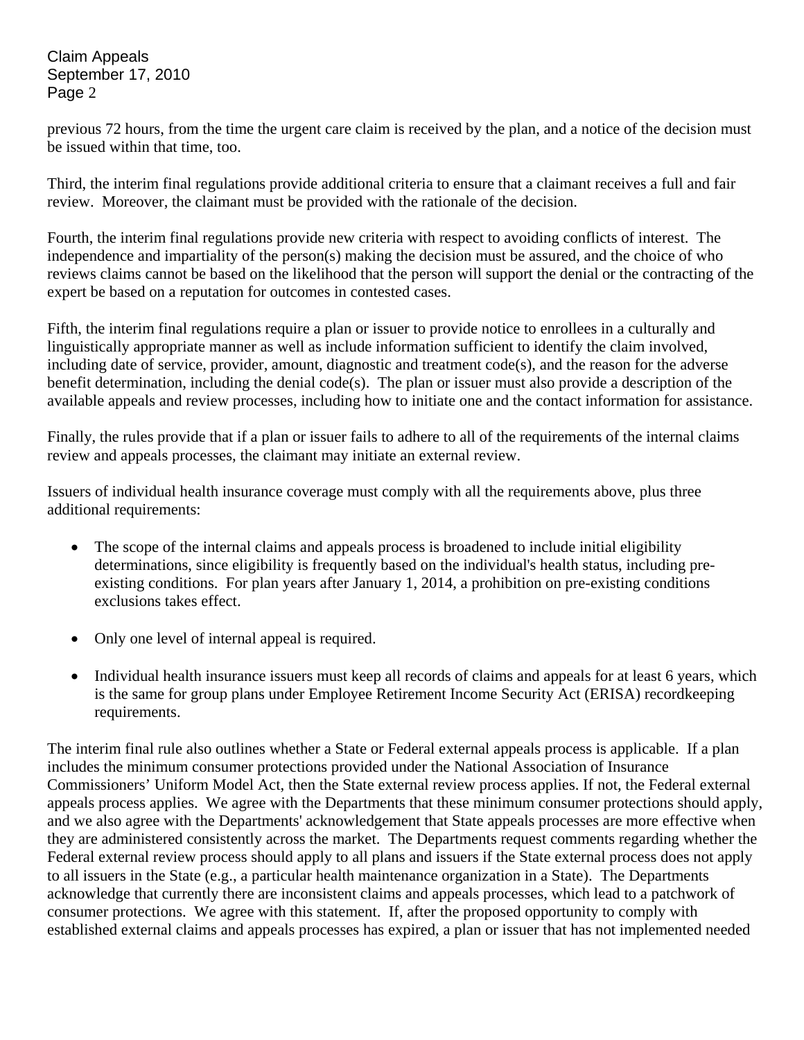Claim Appeals September 17, 2010 Page 2

previous 72 hours, from the time the urgent care claim is received by the plan, and a notice of the decision must be issued within that time, too.

Third, the interim final regulations provide additional criteria to ensure that a claimant receives a full and fair review. Moreover, the claimant must be provided with the rationale of the decision.

Fourth, the interim final regulations provide new criteria with respect to avoiding conflicts of interest. The independence and impartiality of the person(s) making the decision must be assured, and the choice of who reviews claims cannot be based on the likelihood that the person will support the denial or the contracting of the expert be based on a reputation for outcomes in contested cases.

Fifth, the interim final regulations require a plan or issuer to provide notice to enrollees in a culturally and linguistically appropriate manner as well as include information sufficient to identify the claim involved, including date of service, provider, amount, diagnostic and treatment code(s), and the reason for the adverse benefit determination, including the denial code(s). The plan or issuer must also provide a description of the available appeals and review processes, including how to initiate one and the contact information for assistance.

Finally, the rules provide that if a plan or issuer fails to adhere to all of the requirements of the internal claims review and appeals processes, the claimant may initiate an external review.

Issuers of individual health insurance coverage must comply with all the requirements above, plus three additional requirements:

- The scope of the internal claims and appeals process is broadened to include initial eligibility determinations, since eligibility is frequently based on the individual's health status, including preexisting conditions. For plan years after January 1, 2014, a prohibition on pre-existing conditions exclusions takes effect.
- Only one level of internal appeal is required.
- Individual health insurance issuers must keep all records of claims and appeals for at least 6 years, which is the same for group plans under Employee Retirement Income Security Act (ERISA) recordkeeping requirements.

The interim final rule also outlines whether a State or Federal external appeals process is applicable. If a plan includes the minimum consumer protections provided under the National Association of Insurance Commissioners' Uniform Model Act, then the State external review process applies. If not, the Federal external appeals process applies. We agree with the Departments that these minimum consumer protections should apply, and we also agree with the Departments' acknowledgement that State appeals processes are more effective when they are administered consistently across the market. The Departments request comments regarding whether the Federal external review process should apply to all plans and issuers if the State external process does not apply to all issuers in the State (e.g., a particular health maintenance organization in a State). The Departments acknowledge that currently there are inconsistent claims and appeals processes, which lead to a patchwork of consumer protections. We agree with this statement. If, after the proposed opportunity to comply with established external claims and appeals processes has expired, a plan or issuer that has not implemented needed